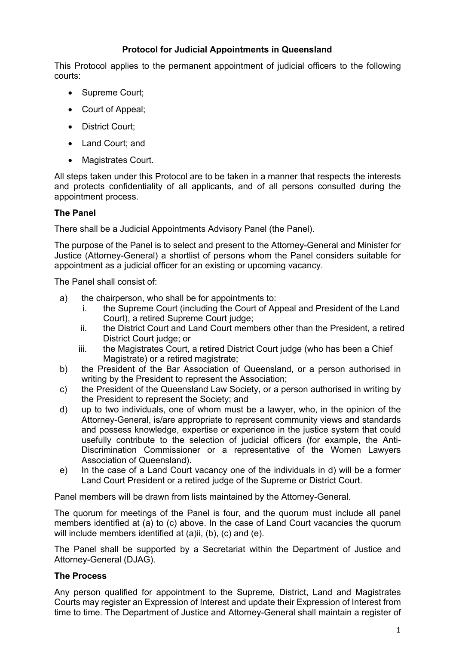# **Protocol for Judicial Appointments in Queensland**

This Protocol applies to the permanent appointment of judicial officers to the following courts:

- Supreme Court;
- Court of Appeal;
- District Court;
- Land Court; and
- Magistrates Court.

All steps taken under this Protocol are to be taken in a manner that respects the interests and protects confidentiality of all applicants, and of all persons consulted during the appointment process.

# **The Panel**

There shall be a Judicial Appointments Advisory Panel (the Panel).

The purpose of the Panel is to select and present to the Attorney-General and Minister for Justice (Attorney-General) a shortlist of persons whom the Panel considers suitable for appointment as a judicial officer for an existing or upcoming vacancy.

The Panel shall consist of:

- a) the chairperson, who shall be for appointments to:
	- i. the Supreme Court (including the Court of Appeal and President of the Land Court), a retired Supreme Court judge;
	- ii. the District Court and Land Court members other than the President, a retired District Court judge; or
	- iii. the Magistrates Court, a retired District Court judge (who has been a Chief Magistrate) or a retired magistrate;
- b) the President of the Bar Association of Queensland, or a person authorised in writing by the President to represent the Association;
- c) the President of the Queensland Law Society, or a person authorised in writing by the President to represent the Society; and
- d) up to two individuals, one of whom must be a lawyer, who, in the opinion of the Attorney-General, is/are appropriate to represent community views and standards and possess knowledge, expertise or experience in the justice system that could usefully contribute to the selection of judicial officers (for example, the Anti-Discrimination Commissioner or a representative of the Women Lawyers Association of Queensland).
- e) In the case of a Land Court vacancy one of the individuals in d) will be a former Land Court President or a retired judge of the Supreme or District Court.

Panel members will be drawn from lists maintained by the Attorney-General.

The quorum for meetings of the Panel is four, and the quorum must include all panel members identified at (a) to (c) above. In the case of Land Court vacancies the quorum will include members identified at (a)ii, (b), (c) and (e).

The Panel shall be supported by a Secretariat within the Department of Justice and Attorney-General (DJAG).

## **The Process**

Any person qualified for appointment to the Supreme, District, Land and Magistrates Courts may register an Expression of Interest and update their Expression of Interest from time to time. The Department of Justice and Attorney-General shall maintain a register of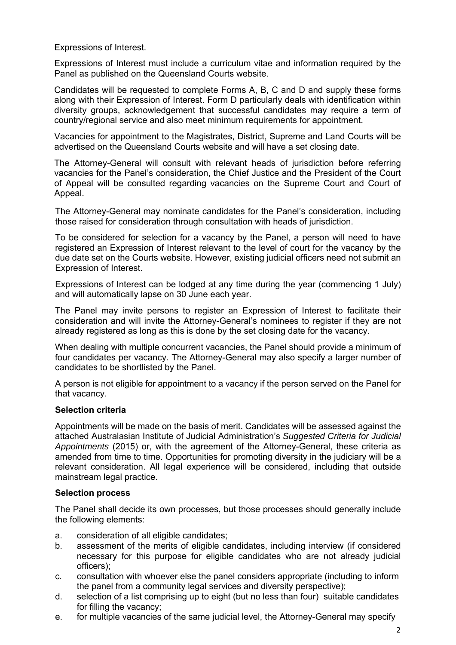Expressions of Interest.

Expressions of Interest must include a curriculum vitae and information required by the Panel as published on the Queensland Courts website.

Candidates will be requested to complete Forms A, B, C and D and supply these forms along with their Expression of Interest. Form D particularly deals with identification within diversity groups, acknowledgement that successful candidates may require a term of country/regional service and also meet minimum requirements for appointment.

Vacancies for appointment to the Magistrates, District, Supreme and Land Courts will be advertised on the Queensland Courts website and will have a set closing date.

The Attorney-General will consult with relevant heads of jurisdiction before referring vacancies for the Panel's consideration, the Chief Justice and the President of the Court of Appeal will be consulted regarding vacancies on the Supreme Court and Court of Appeal.

The Attorney-General may nominate candidates for the Panel's consideration, including those raised for consideration through consultation with heads of jurisdiction.

To be considered for selection for a vacancy by the Panel, a person will need to have registered an Expression of Interest relevant to the level of court for the vacancy by the due date set on the Courts website. However, existing judicial officers need not submit an Expression of Interest.

Expressions of Interest can be lodged at any time during the year (commencing 1 July) and will automatically lapse on 30 June each year.

The Panel may invite persons to register an Expression of Interest to facilitate their consideration and will invite the Attorney-General's nominees to register if they are not already registered as long as this is done by the set closing date for the vacancy.

When dealing with multiple concurrent vacancies, the Panel should provide a minimum of four candidates per vacancy. The Attorney-General may also specify a larger number of candidates to be shortlisted by the Panel.

A person is not eligible for appointment to a vacancy if the person served on the Panel for that vacancy.

## **Selection criteria**

Appointments will be made on the basis of merit. Candidates will be assessed against the attached Australasian Institute of Judicial Administration's *Suggested Criteria for Judicial Appointments* (2015) or, with the agreement of the Attorney-General, these criteria as amended from time to time. Opportunities for promoting diversity in the judiciary will be a relevant consideration. All legal experience will be considered, including that outside mainstream legal practice.

### **Selection process**

The Panel shall decide its own processes, but those processes should generally include the following elements:

- a. consideration of all eligible candidates;
- b. assessment of the merits of eligible candidates, including interview (if considered necessary for this purpose for eligible candidates who are not already judicial officers);
- c. consultation with whoever else the panel considers appropriate (including to inform the panel from a community legal services and diversity perspective);
- d. selection of a list comprising up to eight (but no less than four) suitable candidates for filling the vacancy;
- e. for multiple vacancies of the same judicial level, the Attorney-General may specify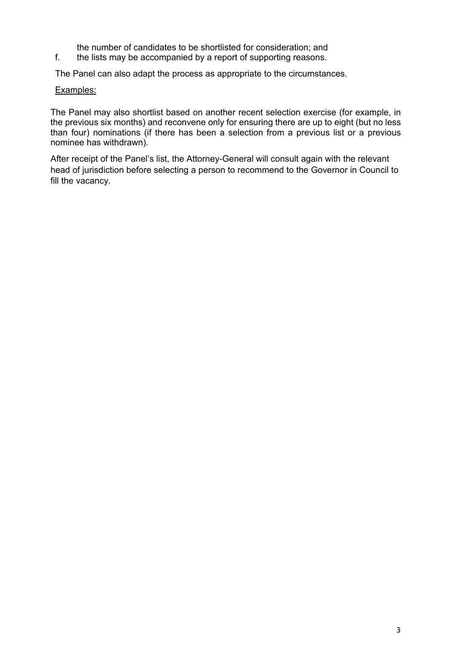the number of candidates to be shortlisted for consideration; and

f. the lists may be accompanied by a report of supporting reasons.

The Panel can also adapt the process as appropriate to the circumstances.

### Examples:

The Panel may also shortlist based on another recent selection exercise (for example, in the previous six months) and reconvene only for ensuring there are up to eight (but no less than four) nominations (if there has been a selection from a previous list or a previous nominee has withdrawn).

After receipt of the Panel's list, the Attorney-General will consult again with the relevant head of jurisdiction before selecting a person to recommend to the Governor in Council to fill the vacancy.